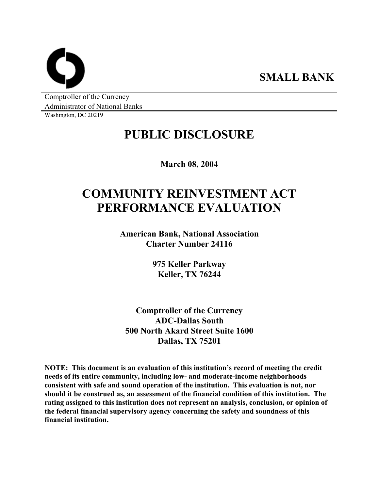**SMALL BANK** 

Comptroller of the Currency Administrator of National Banks

Washington, DC 20219

## **PUBLIC DISCLOSURE**

**March 08, 2004** 

# **COMMUNITY REINVESTMENT ACT PERFORMANCE EVALUATION**

**American Bank, National Association Charter Number 24116** 

> **975 Keller Parkway Keller, TX 76244**

**Comptroller of the Currency ADC-Dallas South 500 North Akard Street Suite 1600 Dallas, TX 75201** 

**NOTE: This document is an evaluation of this institution's record of meeting the credit needs of its entire community, including low- and moderate-income neighborhoods consistent with safe and sound operation of the institution. This evaluation is not, nor should it be construed as, an assessment of the financial condition of this institution. The rating assigned to this institution does not represent an analysis, conclusion, or opinion of the federal financial supervisory agency concerning the safety and soundness of this financial institution.**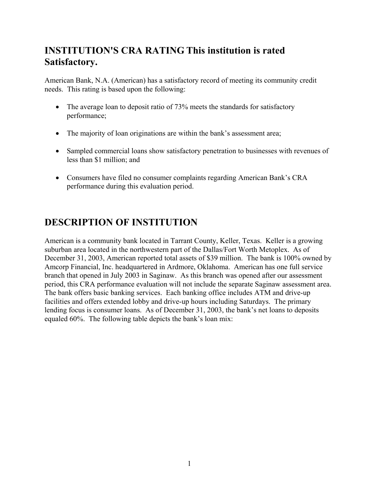### **INSTITUTION'S CRA RATING This institution is rated Satisfactory.**

American Bank, N.A. (American) has a satisfactory record of meeting its community credit needs. This rating is based upon the following:

- The average loan to deposit ratio of 73% meets the standards for satisfactory performance;
- The majority of loan originations are within the bank's assessment area;
- Sampled commercial loans show satisfactory penetration to businesses with revenues of less than \$1 million; and
- Consumers have filed no consumer complaints regarding American Bank's CRA performance during this evaluation period.

### **DESCRIPTION OF INSTITUTION**

American is a community bank located in Tarrant County, Keller, Texas. Keller is a growing suburban area located in the northwestern part of the Dallas/Fort Worth Metoplex. As of December 31, 2003, American reported total assets of \$39 million. The bank is 100% owned by Amcorp Financial, Inc. headquartered in Ardmore, Oklahoma. American has one full service branch that opened in July 2003 in Saginaw. As this branch was opened after our assessment period, this CRA performance evaluation will not include the separate Saginaw assessment area. The bank offers basic banking services. Each banking office includes ATM and drive-up facilities and offers extended lobby and drive-up hours including Saturdays. The primary lending focus is consumer loans. As of December 31, 2003, the bank's net loans to deposits equaled 60%. The following table depicts the bank's loan mix: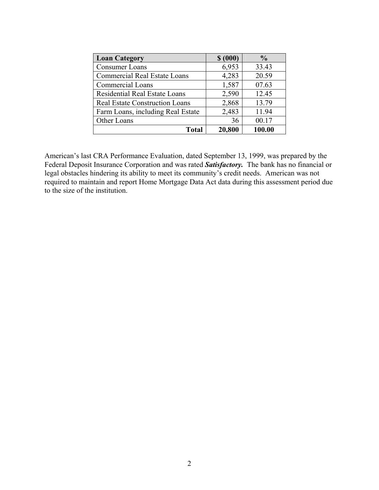| <b>Loan Category</b>                  | \$ (000) | $\frac{0}{0}$ |
|---------------------------------------|----------|---------------|
| <b>Consumer Loans</b>                 | 6,953    | 33.43         |
| <b>Commercial Real Estate Loans</b>   | 4,283    | 20.59         |
| <b>Commercial Loans</b>               | 1,587    | 07.63         |
| <b>Residential Real Estate Loans</b>  | 2,590    | 12.45         |
| <b>Real Estate Construction Loans</b> | 2,868    | 13.79         |
| Farm Loans, including Real Estate     | 2,483    | 11.94         |
| Other Loans                           | 36       | 00.17         |
| <b>Total</b>                          | 20,800   | 100.00        |

American's last CRA Performance Evaluation, dated September 13, 1999, was prepared by the Federal Deposit Insurance Corporation and was rated *Satisfactory.* The bank has no financial or legal obstacles hindering its ability to meet its community's credit needs. American was not required to maintain and report Home Mortgage Data Act data during this assessment period due to the size of the institution.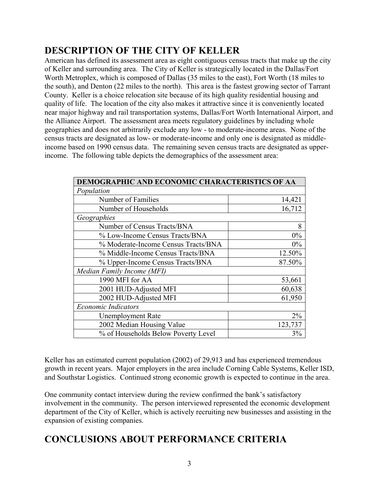### **DESCRIPTION OF THE CITY OF KELLER**

American has defined its assessment area as eight contiguous census tracts that make up the city of Keller and surrounding area. The City of Keller is strategically located in the Dallas/Fort Worth Metroplex, which is composed of Dallas (35 miles to the east), Fort Worth (18 miles to the south), and Denton (22 miles to the north). This area is the fastest growing sector of Tarrant County. Keller is a choice relocation site because of its high quality residential housing and quality of life. The location of the city also makes it attractive since it is conveniently located near major highway and rail transportation systems, Dallas/Fort Worth International Airport, and the Alliance Airport. The assessment area meets regulatory guidelines by including whole geographies and does not arbitrarily exclude any low - to moderate-income areas. None of the census tracts are designated as low- or moderate-income and only one is designated as middleincome based on 1990 census data. The remaining seven census tracts are designated as upperincome. The following table depicts the demographics of the assessment area:

| DEMOGRAPHIC AND ECONOMIC CHARACTERISTICS OF AA |         |  |  |  |  |  |
|------------------------------------------------|---------|--|--|--|--|--|
| Population                                     |         |  |  |  |  |  |
| Number of Families                             | 14,421  |  |  |  |  |  |
| Number of Households                           | 16,712  |  |  |  |  |  |
| Geographies                                    |         |  |  |  |  |  |
| Number of Census Tracts/BNA                    | 8       |  |  |  |  |  |
| % Low-Income Census Tracts/BNA                 | $0\%$   |  |  |  |  |  |
| % Moderate-Income Census Tracts/BNA            | $0\%$   |  |  |  |  |  |
| % Middle-Income Census Tracts/BNA              | 12.50%  |  |  |  |  |  |
| % Upper-Income Census Tracts/BNA               | 87.50%  |  |  |  |  |  |
| Median Family Income (MFI)                     |         |  |  |  |  |  |
| 1990 MFI for AA                                | 53,661  |  |  |  |  |  |
| 2001 HUD-Adjusted MFI                          | 60,638  |  |  |  |  |  |
| 2002 HUD-Adjusted MFI                          | 61,950  |  |  |  |  |  |
| <b>Economic Indicators</b>                     |         |  |  |  |  |  |
| <b>Unemployment Rate</b>                       | 2%      |  |  |  |  |  |
| 2002 Median Housing Value                      | 123,737 |  |  |  |  |  |
| % of Households Below Poverty Level            | 3%      |  |  |  |  |  |

Keller has an estimated current population (2002) of 29,913 and has experienced tremendous growth in recent years. Major employers in the area include Corning Cable Systems, Keller ISD, and Southstar Logistics. Continued strong economic growth is expected to continue in the area.

One community contact interview during the review confirmed the bank's satisfactory involvement in the community. The person interviewed represented the economic development department of the City of Keller, which is actively recruiting new businesses and assisting in the expansion of existing companies.

### **CONCLUSIONS ABOUT PERFORMANCE CRITERIA**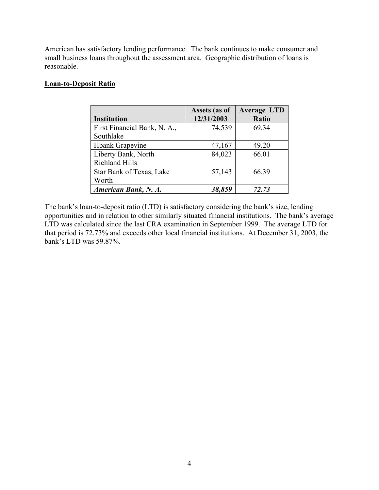American has satisfactory lending performance. The bank continues to make consumer and small business loans throughout the assessment area. Geographic distribution of loans is reasonable.

#### **Loan-to-Deposit Ratio**

|                              | Assets (as of | <b>Average LTD</b> |
|------------------------------|---------------|--------------------|
| <b>Institution</b>           | 12/31/2003    | Ratio              |
| First Financial Bank, N. A., | 74,539        | 69.34              |
| Southlake                    |               |                    |
| <b>Hbank Grapevine</b>       | 47,167        | 49.20              |
| Liberty Bank, North          | 84,023        | 66.01              |
| <b>Richland Hills</b>        |               |                    |
| Star Bank of Texas, Lake     | 57,143        | 66.39              |
| Worth                        |               |                    |
| American Bank, N. A.         | 38,859        | 72.73              |

The bank's loan-to-deposit ratio (LTD) is satisfactory considering the bank's size, lending opportunities and in relation to other similarly situated financial institutions. The bank's average LTD was calculated since the last CRA examination in September 1999. The average LTD for that period is 72.73% and exceeds other local financial institutions. At December 31, 2003, the bank's LTD was 59.87%.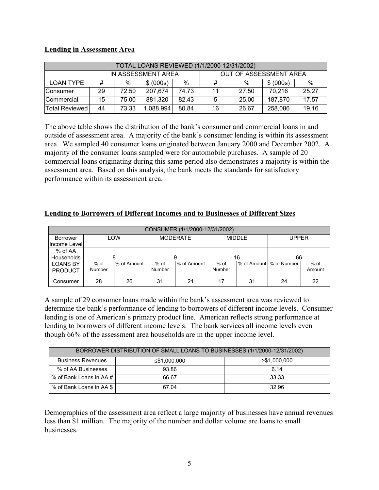#### **Lending in Assessment Area**

| TOTAL LOANS REVIEWED (1/1/2000-12/31/2002) |                    |       |           |                        |    |       |           |       |
|--------------------------------------------|--------------------|-------|-----------|------------------------|----|-------|-----------|-------|
|                                            | IN ASSESSMENT AREA |       |           | OUT OF ASSESSMENT AREA |    |       |           |       |
| <b>LOAN TYPE</b>                           | #                  | $\%$  | \$ (000s) | $\%$                   | #  | $\%$  | \$ (000s) | $\%$  |
| <b>Consumer</b>                            | 29                 | 72.50 | 207.674   | 74.73                  | 11 | 27.50 | 70.216    | 25.27 |
| Commercial                                 | 15                 | 75.00 | 881,320   | 82.43                  | 5  | 25.00 | 187,870   | 17.57 |
| Total Reviewed                             | 44                 | 73.33 | 1,088,994 | 80.84                  | 16 | 26.67 | 258,086   | 19.16 |

The above table shows the distribution of the bank's consumer and commercial loans in and outside of assessment area. A majority of the bank's consumer lending is within its assessment area. We sampled 40 consumer loans originated between January 2000 and December 2002. A majority of the consumer loans sampled were for automobile purchases. A sample of 20 commercial loans originating during this same period also demonstrates a majority is within the assessment area. Based on this analysis, the bank meets the standards for satisfactory performance within its assessment area.

#### **Lending to Borrowers of Different Incomes and to Businesses of Different Sizes**

| CONSUMER (1/1/2000-12/31/2002) |        |             |                 |             |               |    |                           |        |
|--------------------------------|--------|-------------|-----------------|-------------|---------------|----|---------------------------|--------|
| Borrower                       | LOW    |             | <b>MODERATE</b> |             | <b>MIDDLE</b> |    | UPPER                     |        |
| Income Levell                  |        |             |                 |             |               |    |                           |        |
| % of AA                        |        |             |                 |             |               |    |                           |        |
| <b>Households</b>              |        |             | 9               |             | 16            |    | 66                        |        |
| <b>LOANS BY</b>                | $%$ of | % of Amount | $%$ of          | % of Amount | $%$ of        |    | % of Amount   % of Number | $%$ of |
| <b>PRODUCT</b>                 | Number |             | Number          |             | Number        |    |                           | Amount |
|                                |        |             |                 |             |               |    |                           |        |
| Consumer                       | 28     | 26          | 31              | 21          | 17            | 31 | 24                        | 22     |

A sample of 29 consumer loans made within the bank's assessment area was reviewed to determine the bank's performance of lending to borrowers of different income levels. Consumer lending is one of American's primary product line. American reflects strong performance at lending to borrowers of different income levels. The bank services all income levels even though 66% of the assessment area households are in the upper income level.

| BORROWER DISTRIBUTION OF SMALL LOANS TO BUSINESSES (1/1/2000-12/31/2002) |              |               |  |  |
|--------------------------------------------------------------------------|--------------|---------------|--|--|
| <b>Business Revenues</b>                                                 | ≤\$1,000,000 | > \$1,000,000 |  |  |
| % of AA Businesses                                                       | 93.86        | 6.14          |  |  |
| % of Bank Loans in AA # I                                                | 66.67        | 33.33         |  |  |
| % of Bank Loans in AA \$                                                 | 67.04        | 32.96         |  |  |

Demographics of the assessment area reflect a large majority of businesses have annual revenues less than \$1 million. The majority of the number and dollar volume are loans to small businesses.